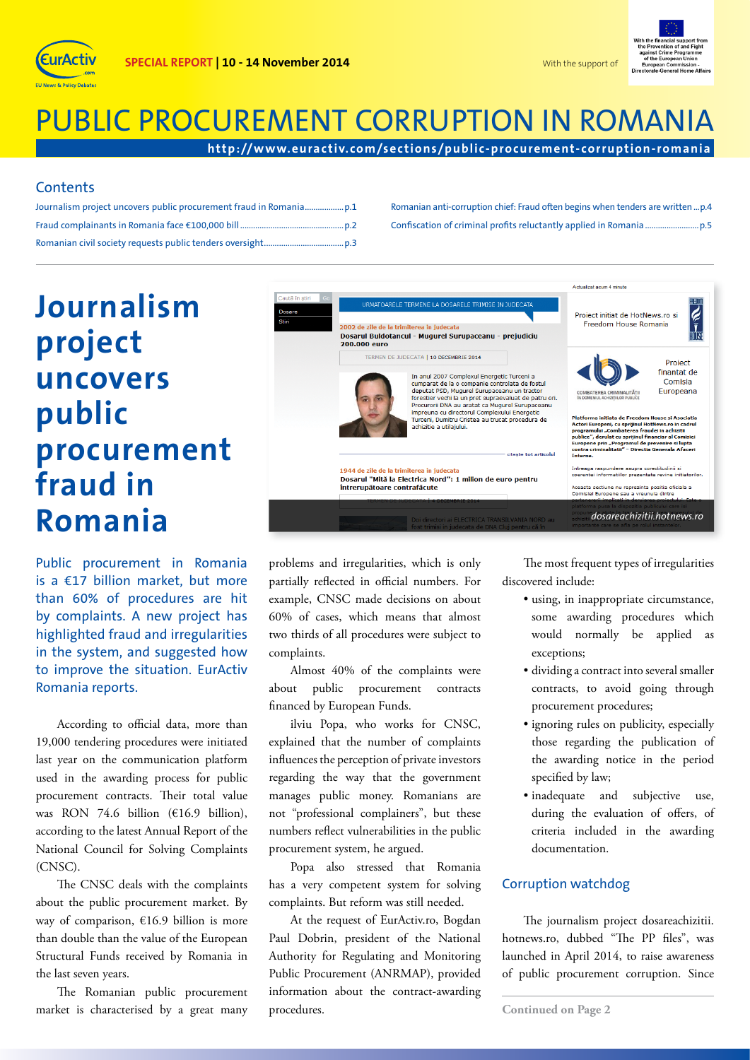



# PUBLIC PROCUREMENT CORRUPTION IN ROMANIA

**http://w w w.eurac tiv.com/sec tions/public-procurement- corruption-romania**

### **Contents**

Romanian anti-corruption chief: Fraud often begins when tenders are written...p.4 Confiscation of criminal profits reluctantly applied in Romania ...................

# **Journalism project uncovers public procurement fraud in Romania**

Public procurement in Romania is a €17 billion market, but more than 60% of procedures are hit by complaints. A new project has highlighted fraud and irregularities in the system, and suggested how to improve the situation. EurActiv Romania reports.

According to official data, more than 19,000 tendering procedures were initiated last year on the communication platform used in the awarding process for public procurement contracts. Their total value was RON 74.6 billion (€16.9 billion), according to the latest Annual Report of the National Council for Solving Complaints (CNSC).

The CNSC deals with the complaints about the public procurement market. By way of comparison, €16.9 billion is more than double than the value of the European Structural Funds received by Romania in the last seven years.

The Romanian public procurement market is characterised by a great many



problems and irregularities, which is only partially reflected in official numbers. For example, CNSC made decisions on about 60% of cases, which means that almost two thirds of all procedures were subject to complaints.

Almost 40% of the complaints were about public procurement contracts financed by European Funds.

ilviu Popa, who works for CNSC, explained that the number of complaints influences the perception of private investors regarding the way that the government manages public money. Romanians are not "professional complainers", but these numbers reflect vulnerabilities in the public procurement system, he argued.

Popa also stressed that Romania has a very competent system for solving complaints. But reform was still needed.

At the request of EurActiv.ro, Bogdan Paul Dobrin, president of the National Authority for Regulating and Monitoring Public Procurement (ANRMAP), provided information about the contract-awarding procedures.

The most frequent types of irregularities discovered include:

- using, in inappropriate circumstance, some awarding procedures which would normally be applied as exceptions;
- dividing a contract into several smaller contracts, to avoid going through procurement procedures;
- ignoring rules on publicity, especially those regarding the publication of the awarding notice in the period specified by law;
- inadequate and subjective use, during the evaluation of offers, of criteria included in the awarding documentation.

#### Corruption watchdog

The journalism project dosareachizitii. hotnews.ro, dubbed "The PP files", was launched in April 2014, to raise awareness of public procurement corruption. Since

**Continued on Page 2**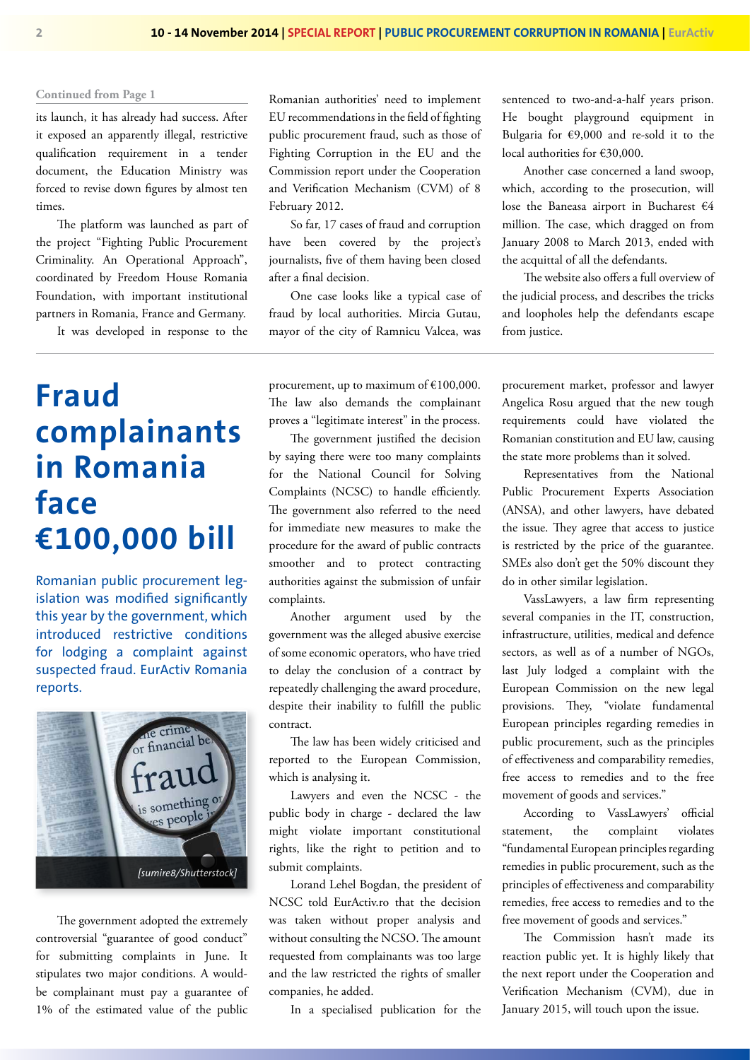#### **Continued from Page 1**

its launch, it has already had success. After it exposed an apparently illegal, restrictive qualification requirement in a tender document, the Education Ministry was forced to revise down figures by almost ten times.

The platform was launched as part of the project "Fighting Public Procurement Criminality. An Operational Approach", coordinated by Freedom House Romania Foundation, with important institutional partners in Romania, France and Germany.

It was developed in response to the

### **Fraud complainants in Romania face €100,000 bill**

Romanian public procurement legislation was modified significantly this year by the government, which introduced restrictive conditions for lodging a complaint against suspected fraud. EurActiv Romania reports.



The government adopted the extremely controversial "guarantee of good conduct" for submitting complaints in June. It stipulates two major conditions. A wouldbe complainant must pay a guarantee of 1% of the estimated value of the public

Romanian authorities' need to implement EU recommendations in the field of fighting public procurement fraud, such as those of Fighting Corruption in the EU and the Commission report under the Cooperation and Verification Mechanism (CVM) of 8 February 2012.

So far, 17 cases of fraud and corruption have been covered by the project's journalists, five of them having been closed after a final decision.

One case looks like a typical case of fraud by local authorities. Mircia Gutau, mayor of the city of Ramnicu Valcea, was

procurement, up to maximum of €100,000. The law also demands the complainant proves a "legitimate interest" in the process.

The government justified the decision by saying there were too many complaints for the National Council for Solving Complaints (NCSC) to handle efficiently. The government also referred to the need for immediate new measures to make the procedure for the award of public contracts smoother and to protect contracting authorities against the submission of unfair complaints.

Another argument used by the government was the alleged abusive exercise of some economic operators, who have tried to delay the conclusion of a contract by repeatedly challenging the award procedure, despite their inability to fulfill the public contract.

The law has been widely criticised and reported to the European Commission, which is analysing it.

Lawyers and even the NCSC - the public body in charge - declared the law might violate important constitutional rights, like the right to petition and to submit complaints.

Lorand Lehel Bogdan, the president of NCSC told EurActiv.ro that the decision was taken without proper analysis and without consulting the NCSO. The amount requested from complainants was too large and the law restricted the rights of smaller companies, he added.

In a specialised publication for the

sentenced to two-and-a-half years prison. He bought playground equipment in Bulgaria for €9,000 and re-sold it to the local authorities for €30,000.

Another case concerned a land swoop, which, according to the prosecution, will lose the Baneasa airport in Bucharest €4 million. The case, which dragged on from January 2008 to March 2013, ended with the acquittal of all the defendants.

The website also offers a full overview of the judicial process, and describes the tricks and loopholes help the defendants escape from justice.

procurement market, professor and lawyer Angelica Rosu argued that the new tough requirements could have violated the Romanian constitution and EU law, causing the state more problems than it solved.

Representatives from the National Public Procurement Experts Association (ANSA), and other lawyers, have debated the issue. They agree that access to justice is restricted by the price of the guarantee. SMEs also don't get the 50% discount they do in other similar legislation.

VassLawyers, a law firm representing several companies in the IT, construction, infrastructure, utilities, medical and defence sectors, as well as of a number of NGOs, last July lodged a complaint with the European Commission on the new legal provisions. They, "violate fundamental European principles regarding remedies in public procurement, such as the principles of effectiveness and comparability remedies, free access to remedies and to the free movement of goods and services."

According to VassLawyers' official statement, the complaint violates "fundamental European principles regarding remedies in public procurement, such as the principles of effectiveness and comparability remedies, free access to remedies and to the free movement of goods and services."

The Commission hasn't made its reaction public yet. It is highly likely that the next report under the Cooperation and Verification Mechanism (CVM), due in January 2015, will touch upon the issue.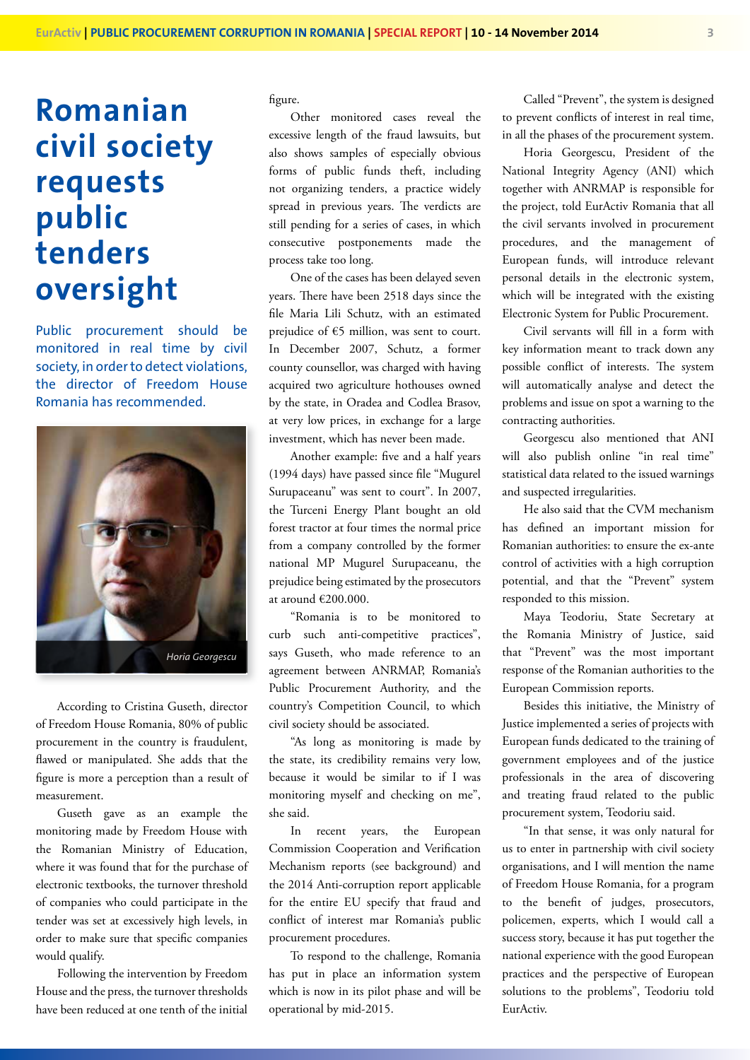### **Romanian civil society requests public tenders oversight**

Public procurement should be monitored in real time by civil society, in order to detect violations, the director of Freedom House Romania has recommended.



According to Cristina Guseth, director of Freedom House Romania, 80% of public procurement in the country is fraudulent, flawed or manipulated. She adds that the figure is more a perception than a result of measurement.

Guseth gave as an example the monitoring made by Freedom House with the Romanian Ministry of Education, where it was found that for the purchase of electronic textbooks, the turnover threshold of companies who could participate in the tender was set at excessively high levels, in order to make sure that specific companies would qualify.

Following the intervention by Freedom House and the press, the turnover thresholds have been reduced at one tenth of the initial figure.

Other monitored cases reveal the excessive length of the fraud lawsuits, but also shows samples of especially obvious forms of public funds theft, including not organizing tenders, a practice widely spread in previous years. The verdicts are still pending for a series of cases, in which consecutive postponements made the process take too long.

One of the cases has been delayed seven years. There have been 2518 days since the file Maria Lili Schutz, with an estimated prejudice of  $\epsilon$ 5 million, was sent to court. In December 2007, Schutz, a former county counsellor, was charged with having acquired two agriculture hothouses owned by the state, in Oradea and Codlea Brasov, at very low prices, in exchange for a large investment, which has never been made.

Another example: five and a half years (1994 days) have passed since file "Mugurel Surupaceanu" was sent to court". In 2007, the Turceni Energy Plant bought an old forest tractor at four times the normal price from a company controlled by the former national MP Mugurel Surupaceanu, the prejudice being estimated by the prosecutors at around €200.000.

"Romania is to be monitored to curb such anti-competitive practices", says Guseth, who made reference to an agreement between ANRMAP, Romania's Public Procurement Authority, and the country's Competition Council, to which civil society should be associated.

"As long as monitoring is made by the state, its credibility remains very low, because it would be similar to if I was monitoring myself and checking on me", she said.

In recent years, the European Commission Cooperation and Verification Mechanism reports (see background) and the 2014 Anti-corruption report applicable for the entire EU specify that fraud and conflict of interest mar Romania's public procurement procedures.

To respond to the challenge, Romania has put in place an information system which is now in its pilot phase and will be operational by mid-2015.

Called "Prevent", the system is designed to prevent conflicts of interest in real time, in all the phases of the procurement system.

Horia Georgescu, President of the National Integrity Agency (ANI) which together with ANRMAP is responsible for the project, told EurActiv Romania that all the civil servants involved in procurement procedures, and the management of European funds, will introduce relevant personal details in the electronic system, which will be integrated with the existing Electronic System for Public Procurement.

Civil servants will fill in a form with key information meant to track down any possible conflict of interests. The system will automatically analyse and detect the problems and issue on spot a warning to the contracting authorities.

Georgescu also mentioned that ANI will also publish online "in real time" statistical data related to the issued warnings and suspected irregularities.

He also said that the CVM mechanism has defined an important mission for Romanian authorities: to ensure the ex-ante control of activities with a high corruption potential, and that the "Prevent" system responded to this mission.

Maya Teodoriu, State Secretary at the Romania Ministry of Justice, said that "Prevent" was the most important response of the Romanian authorities to the European Commission reports.

Besides this initiative, the Ministry of Justice implemented a series of projects with European funds dedicated to the training of government employees and of the justice professionals in the area of discovering and treating fraud related to the public procurement system, Teodoriu said.

"In that sense, it was only natural for us to enter in partnership with civil society organisations, and I will mention the name of Freedom House Romania, for a program to the benefit of judges, prosecutors, policemen, experts, which I would call a success story, because it has put together the national experience with the good European practices and the perspective of European solutions to the problems", Teodoriu told EurActiv.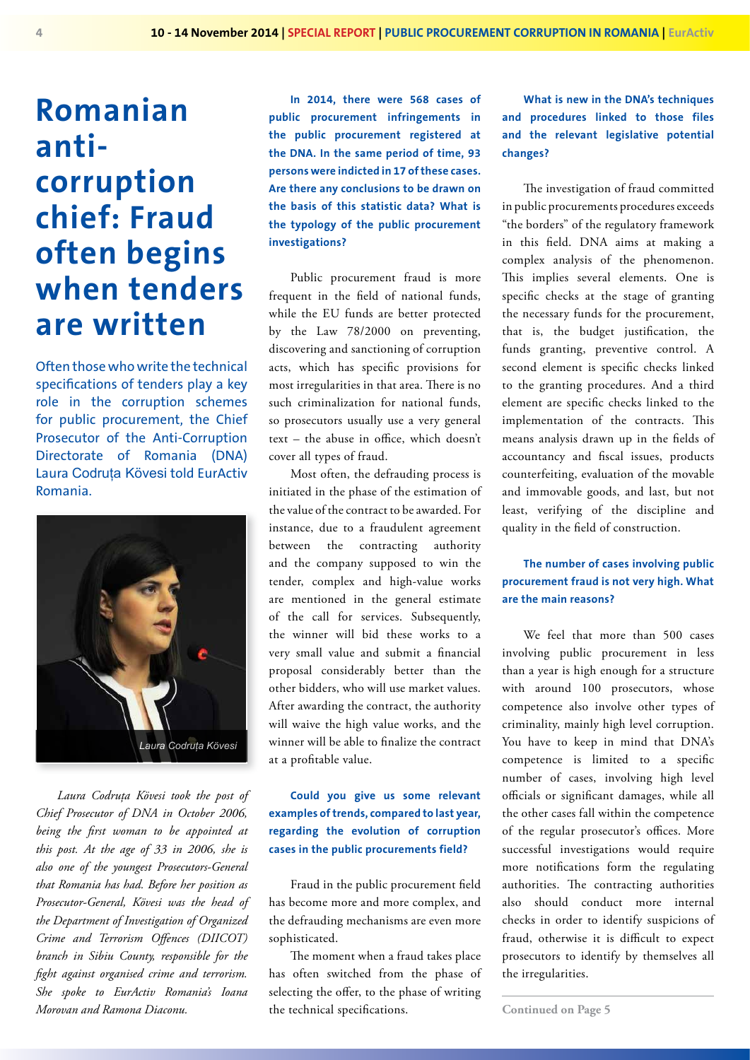## **Romanian anticorruption chief: Fraud often begins when tenders are written**

Often those who write the technical specifications of tenders play a key role in the corruption schemes for public procurement, the Chief Prosecutor of the Anti-Corruption Directorate of Romania (DNA) Laura Codruța Kövesi told EurActiv Romania.



*Laura Codruța Kövesi took the post of Chief Prosecutor of DNA in October 2006, being the first woman to be appointed at this post. At the age of 33 in 2006, she is also one of the youngest Prosecutors-General that Romania has had. Before her position as Prosecutor-General, Kövesi was the head of the Department of Investigation of Organized Crime and Terrorism Offences (DIICOT) branch in Sibiu County, responsible for the fight against organised crime and terrorism. She spoke to EurActiv Romania's Ioana Morovan and Ramona Diaconu.*

**In 2014, there were 568 cases of public procurement infringements in the public procurement registered at the DNA. In the same period of time, 93 persons were indicted in 17 of these cases. Are there any conclusions to be drawn on the basis of this statistic data? What is the typology of the public procurement investigations?**

Public procurement fraud is more frequent in the field of national funds, while the EU funds are better protected by the Law 78/2000 on preventing, discovering and sanctioning of corruption acts, which has specific provisions for most irregularities in that area. There is no such criminalization for national funds, so prosecutors usually use a very general text – the abuse in office, which doesn't cover all types of fraud.

Most often, the defrauding process is initiated in the phase of the estimation of the value of the contract to be awarded. For instance, due to a fraudulent agreement between the contracting authority and the company supposed to win the tender, complex and high-value works are mentioned in the general estimate of the call for services. Subsequently, the winner will bid these works to a very small value and submit a financial proposal considerably better than the other bidders, who will use market values. After awarding the contract, the authority will waive the high value works, and the winner will be able to finalize the contract at a profitable value.

#### **Could you give us some relevant examples of trends, compared to last year, regarding the evolution of corruption cases in the public procurements field?**

Fraud in the public procurement field has become more and more complex, and the defrauding mechanisms are even more sophisticated.

The moment when a fraud takes place has often switched from the phase of selecting the offer, to the phase of writing the technical specifications.

**What is new in the DNA's techniques and procedures linked to those files and the relevant legislative potential changes?**

The investigation of fraud committed in public procurements procedures exceeds "the borders" of the regulatory framework in this field. DNA aims at making a complex analysis of the phenomenon. This implies several elements. One is specific checks at the stage of granting the necessary funds for the procurement, that is, the budget justification, the funds granting, preventive control. A second element is specific checks linked to the granting procedures. And a third element are specific checks linked to the implementation of the contracts. This means analysis drawn up in the fields of accountancy and fiscal issues, products counterfeiting, evaluation of the movable and immovable goods, and last, but not least, verifying of the discipline and quality in the field of construction.

### **The number of cases involving public procurement fraud is not very high. What are the main reasons?**

We feel that more than 500 cases involving public procurement in less than a year is high enough for a structure with around 100 prosecutors, whose competence also involve other types of criminality, mainly high level corruption. You have to keep in mind that DNA's competence is limited to a specific number of cases, involving high level officials or significant damages, while all the other cases fall within the competence of the regular prosecutor's offices. More successful investigations would require more notifications form the regulating authorities. The contracting authorities also should conduct more internal checks in order to identify suspicions of fraud, otherwise it is difficult to expect prosecutors to identify by themselves all the irregularities.

**Continued on Page 5**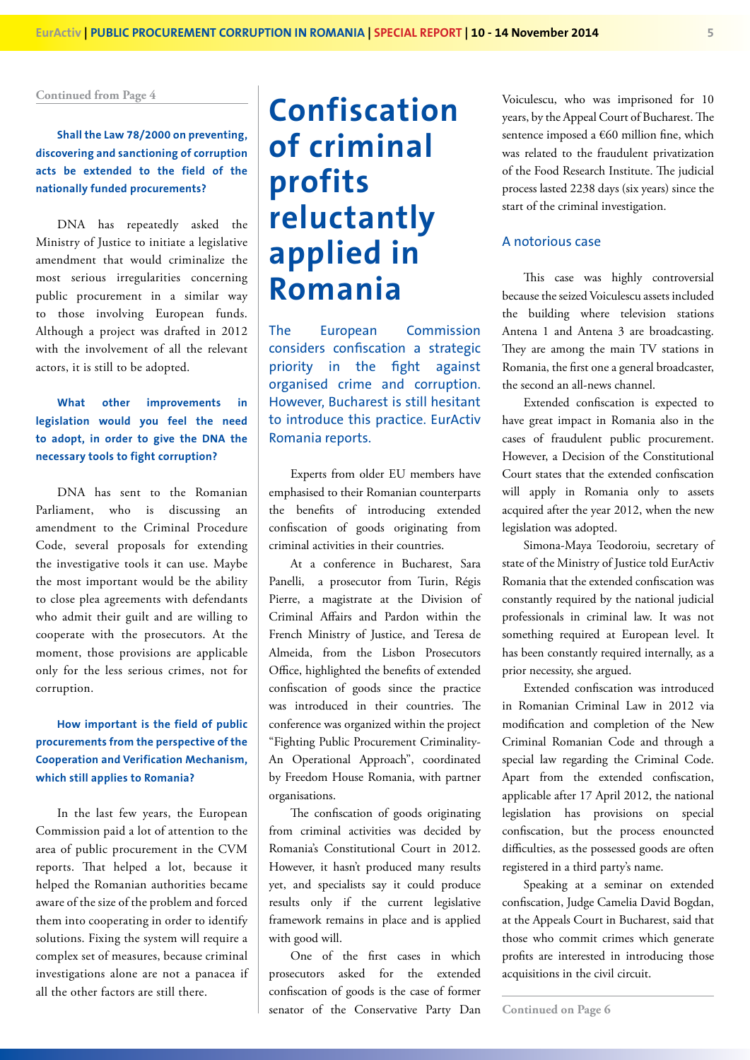**Continued from Page 4**

### **Shall the Law 78/2000 on preventing, discovering and sanctioning of corruption acts be extended to the field of the nationally funded procurements?**

DNA has repeatedly asked the Ministry of Justice to initiate a legislative amendment that would criminalize the most serious irregularities concerning public procurement in a similar way to those involving European funds. Although a project was drafted in 2012 with the involvement of all the relevant actors, it is still to be adopted.

### **What other improvements in legislation would you feel the need to adopt, in order to give the DNA the necessary tools to fight corruption?**

DNA has sent to the Romanian Parliament, who is discussing an amendment to the Criminal Procedure Code, several proposals for extending the investigative tools it can use. Maybe the most important would be the ability to close plea agreements with defendants who admit their guilt and are willing to cooperate with the prosecutors. At the moment, those provisions are applicable only for the less serious crimes, not for corruption.

### **How important is the field of public procurements from the perspective of the Cooperation and Verification Mechanism, which still applies to Romania?**

In the last few years, the European Commission paid a lot of attention to the area of public procurement in the CVM reports. That helped a lot, because it helped the Romanian authorities became aware of the size of the problem and forced them into cooperating in order to identify solutions. Fixing the system will require a complex set of measures, because criminal investigations alone are not a panacea if all the other factors are still there.

# **Confiscation of criminal profits reluctantly applied in Romania**

The European Commission considers confiscation a strategic priority in the fight against organised crime and corruption. However, Bucharest is still hesitant to introduce this practice. EurActiv Romania reports.

Experts from older EU members have emphasised to their Romanian counterparts the benefits of introducing extended confiscation of goods originating from criminal activities in their countries.

At a conference in Bucharest, Sara Panelli, a prosecutor from Turin, Régis Pierre, a magistrate at the Division of Criminal Affairs and Pardon within the French Ministry of Justice, and Teresa de Almeida, from the Lisbon Prosecutors Office, highlighted the benefits of extended confiscation of goods since the practice was introduced in their countries. The conference was organized within the project "Fighting Public Procurement Criminality-An Operational Approach", coordinated by Freedom House Romania, with partner organisations.

The confiscation of goods originating from criminal activities was decided by Romania's Constitutional Court in 2012. However, it hasn't produced many results yet, and specialists say it could produce results only if the current legislative framework remains in place and is applied with good will.

One of the first cases in which prosecutors asked for the extended confiscation of goods is the case of former senator of the Conservative Party Dan Voiculescu, who was imprisoned for 10 years, by the Appeal Court of Bucharest. The sentence imposed a €60 million fine, which was related to the fraudulent privatization of the Food Research Institute. The judicial process lasted 2238 days (six years) since the start of the criminal investigation.

#### A notorious case

This case was highly controversial because the seized Voiculescu assets included the building where television stations Antena 1 and Antena 3 are broadcasting. They are among the main TV stations in Romania, the first one a general broadcaster, the second an all-news channel.

Extended confiscation is expected to have great impact in Romania also in the cases of fraudulent public procurement. However, a Decision of the Constitutional Court states that the extended confiscation will apply in Romania only to assets acquired after the year 2012, when the new legislation was adopted.

Simona-Maya Teodoroiu, secretary of state of the Ministry of Justice told EurActiv Romania that the extended confiscation was constantly required by the national judicial professionals in criminal law. It was not something required at European level. It has been constantly required internally, as a prior necessity, she argued.

Extended confiscation was introduced in Romanian Criminal Law in 2012 via modification and completion of the New Criminal Romanian Code and through a special law regarding the Criminal Code. Apart from the extended confiscation, applicable after 17 April 2012, the national legislation has provisions on special confiscation, but the process enouncted difficulties, as the possessed goods are often registered in a third party's name.

Speaking at a seminar on extended confiscation, Judge Camelia David Bogdan, at the Appeals Court in Bucharest, said that those who commit crimes which generate profits are interested in introducing those acquisitions in the civil circuit.

**Continued on Page 6**